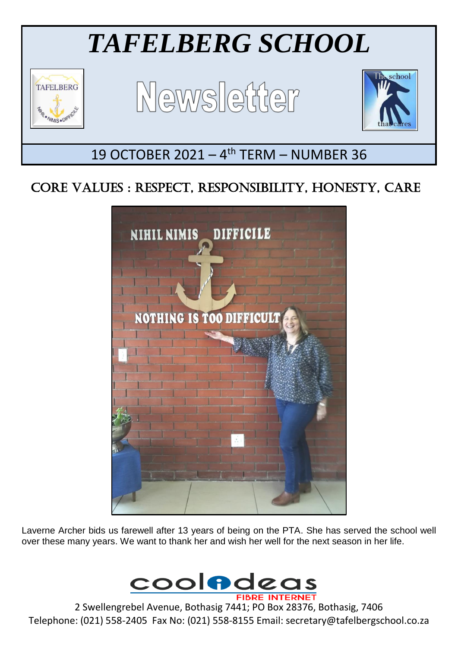

# CORE VALUES : RESPECT, RESPONSIBILITY, HONESTY, CARE



Laverne Archer bids us farewell after 13 years of being on the PTA. She has served the school well over these many years. We want to thank her and wish her well for the next season in her life.



2 Swellengrebel Avenue, Bothasig 7441; PO Box 28376, Bothasig, 7406 Telephone: (021) 558-2405 Fax No: (021) 558-8155 Email: secretary@tafelbergschool.co.za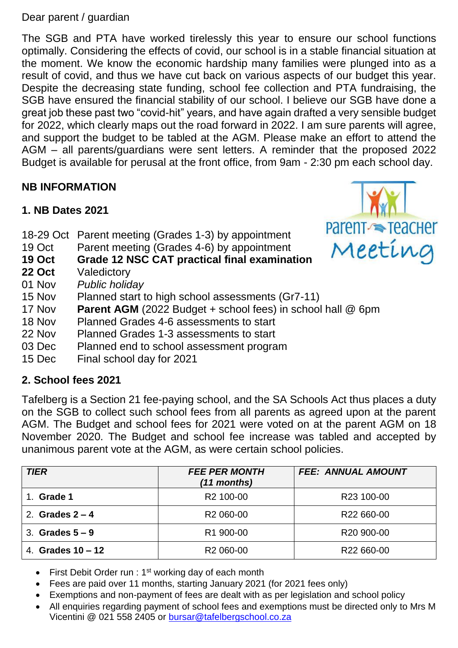Dear parent / guardian

The SGB and PTA have worked tirelessly this year to ensure our school functions optimally. Considering the effects of covid, our school is in a stable financial situation at the moment. We know the economic hardship many families were plunged into as a result of covid, and thus we have cut back on various aspects of our budget this year. Despite the decreasing state funding, school fee collection and PTA fundraising, the SGB have ensured the financial stability of our school. I believe our SGB have done a great job these past two "covid-hit" years, and have again drafted a very sensible budget for 2022, which clearly maps out the road forward in 2022. I am sure parents will agree, and support the budget to be tabled at the AGM. Please make an effort to attend the AGM – all parents/guardians were sent letters. A reminder that the proposed 2022 Budget is available for perusal at the front office, from 9am - 2:30 pm each school day.

# **NB INFORMATION**

- **1. NB Dates 2021**
- 18-29 Oct Parent meeting (Grades 1-3) by appointment
- 19 Oct Parent meeting (Grades 4-6) by appointment
- **19 Oct Grade 12 NSC CAT practical final examination**
- **22 Oct** Valedictory
- 01 Nov *Public holiday*
- 15 Nov Planned start to high school assessments (Gr7-11)
- 17 Nov **Parent AGM** (2022 Budget + school fees) in school hall @ 6pm
- 18 Nov Planned Grades 4-6 assessments to start
- 22 Nov Planned Grades 1-3 assessments to start
- 03 Dec Planned end to school assessment program
- 15 Dec Final school day for 2021

## **2. School fees 2021**

Tafelberg is a Section 21 fee-paying school, and the SA Schools Act thus places a duty on the SGB to collect such school fees from all parents as agreed upon at the parent AGM. The Budget and school fees for 2021 were voted on at the parent AGM on 18 November 2020. The Budget and school fee increase was tabled and accepted by unanimous parent vote at the AGM, as were certain school policies.

| <b>TIER</b>         | <b>FEE PER MONTH</b><br>$(11$ months) | <b>FEE: ANNUAL AMOUNT</b> |
|---------------------|---------------------------------------|---------------------------|
| Grade 1             | R <sub>2</sub> 100-00                 | R23 100-00                |
| 2. Grades $2 - 4$   | R <sub>2</sub> 060-00                 | R22 660-00                |
| 3. Grades $5-9$     | R1 900-00                             | R <sub>20</sub> 900-00    |
| 4. Grades $10 - 12$ | R <sub>2</sub> 060-00                 | R22 660-00                |

- First Debit Order run :  $1<sup>st</sup>$  working day of each month
- Fees are paid over 11 months, starting January 2021 (for 2021 fees only)
- Exemptions and non-payment of fees are dealt with as per legislation and school policy
- All enquiries regarding payment of school fees and exemptions must be directed only to Mrs M Vicentini @ 021 558 2405 or [bursar@tafelbergschool.co.za](mailto:bursar@tafelbergschool.co.za)

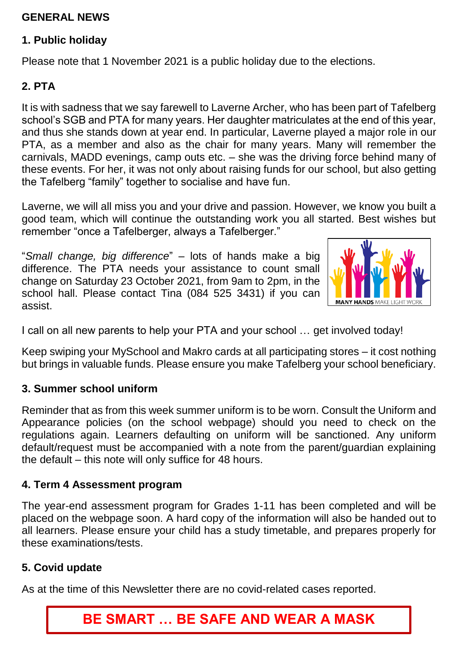### **GENERAL NEWS**

#### **1. Public holiday**

Please note that 1 November 2021 is a public holiday due to the elections.

# **2. PTA**

It is with sadness that we say farewell to Laverne Archer, who has been part of Tafelberg school's SGB and PTA for many years. Her daughter matriculates at the end of this year, and thus she stands down at year end. In particular, Laverne played a major role in our PTA, as a member and also as the chair for many years. Many will remember the carnivals, MADD evenings, camp outs etc. – she was the driving force behind many of these events. For her, it was not only about raising funds for our school, but also getting the Tafelberg "family" together to socialise and have fun.

Laverne, we will all miss you and your drive and passion. However, we know you built a good team, which will continue the outstanding work you all started. Best wishes but remember "once a Tafelberger, always a Tafelberger."

"*Small change, big difference*" – lots of hands make a big difference. The PTA needs your assistance to count small change on Saturday 23 October 2021, from 9am to 2pm, in the school hall. Please contact Tina (084 525 3431) if you can assist.



I call on all new parents to help your PTA and your school … get involved today!

Keep swiping your MySchool and Makro cards at all participating stores – it cost nothing but brings in valuable funds. Please ensure you make Tafelberg your school beneficiary.

#### **3. Summer school uniform**

Reminder that as from this week summer uniform is to be worn. Consult the Uniform and Appearance policies (on the school webpage) should you need to check on the regulations again. Learners defaulting on uniform will be sanctioned. Any uniform default/request must be accompanied with a note from the parent/guardian explaining the default – this note will only suffice for 48 hours.

#### **4. Term 4 Assessment program**

The year-end assessment program for Grades 1-11 has been completed and will be placed on the webpage soon. A hard copy of the information will also be handed out to all learners. Please ensure your child has a study timetable, and prepares properly for these examinations/tests.

#### **5. Covid update**

As at the time of this Newsletter there are no covid-related cases reported.

# **BE SMART … BE SAFE AND WEAR A MASK**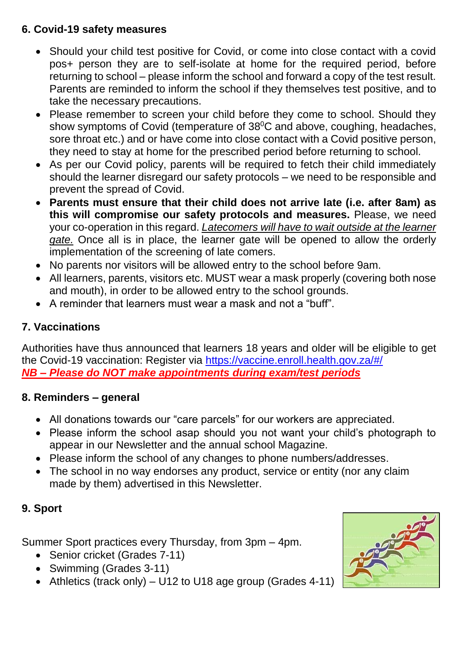# **6. Covid-19 safety measures**

- Should your child test positive for Covid, or come into close contact with a covid pos+ person they are to self-isolate at home for the required period, before returning to school – please inform the school and forward a copy of the test result. Parents are reminded to inform the school if they themselves test positive, and to take the necessary precautions.
- Please remember to screen your child before they come to school. Should they show symptoms of Covid (temperature of  $38^{\circ}$ C and above, coughing, headaches, sore throat etc.) and or have come into close contact with a Covid positive person, they need to stay at home for the prescribed period before returning to school.
- As per our Covid policy, parents will be required to fetch their child immediately should the learner disregard our safety protocols – we need to be responsible and prevent the spread of Covid.
- **Parents must ensure that their child does not arrive late (i.e. after 8am) as this will compromise our safety protocols and measures.** Please, we need your co-operation in this regard. *Latecomers will have to wait outside at the learner gate.* Once all is in place, the learner gate will be opened to allow the orderly implementation of the screening of late comers.
- No parents nor visitors will be allowed entry to the school before 9am.
- All learners, parents, visitors etc. MUST wear a mask properly (covering both nose and mouth), in order to be allowed entry to the school grounds.
- A reminder that learners must wear a mask and not a "buff".

# **7. Vaccinations**

Authorities have thus announced that learners 18 years and older will be eligible to get the Covid-19 vaccination: Register via <https://vaccine.enroll.health.gov.za/#/> *NB – Please do NOT make appointments during exam/test periods*

#### **8. Reminders – general**

- All donations towards our "care parcels" for our workers are appreciated.
- Please inform the school asap should you not want your child's photograph to appear in our Newsletter and the annual school Magazine.
- Please inform the school of any changes to phone numbers/addresses.
- The school in no way endorses any product, service or entity (nor any claim made by them) advertised in this Newsletter.

# **9. Sport**

Summer Sport practices every Thursday, from 3pm – 4pm.

- Senior cricket (Grades 7-11)
- Swimming (Grades 3-11)
- Athletics (track only) U12 to U18 age group (Grades 4-11)